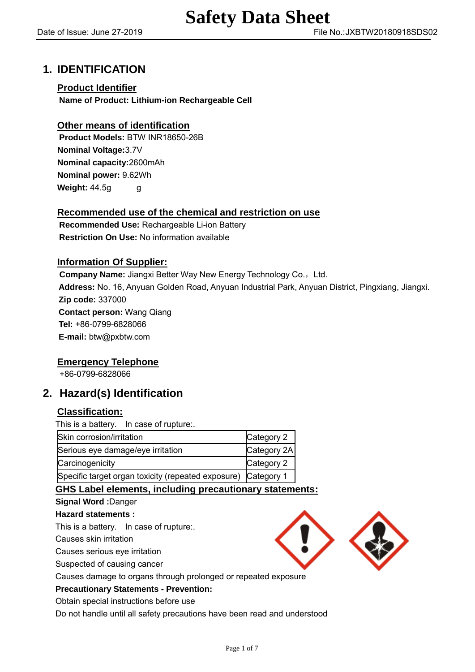# **1. IDENTIFICATION**

## **Product Identifier**

**Name of Product: Lithium-ion Rechargeable Cell**

## **Other means of identification**

**Product Models:** BTW INR18650-26B **Nominal Voltage:**3.7V **Nominal capacity:**2600mAh **[Nominal](javascript:void(0);) [power:](javascript:void(0);)** 9.62Wh **Weight: 44.5g** g

## **Recommended use of the chemical and restriction on use**

**Recommended Use:** Rechargeable Li-ion Battery **Restriction On Use:** No information available

## **Information Of Supplier:**

**Company Name:** Jiangxi Better Way New Energy Technology Co., Ltd. **Address:** No. 16, Anyuan Golden Road, Anyuan Industrial Park, Anyuan District, Pingxiang, Jiangxi. **Zip code:** 337000 **Contact person:** Wang Qiang **Tel:** +86-0799-6828066 **E-mail:** btw@pxbtw.com

## **Emergency Telephone**

+86-0799-6828066

# **2. Hazard(s) Identification**

## **Classification:**

This is a battery. In case of rupture:.

| Skin corrosion/irritation                                     | Category 2  |
|---------------------------------------------------------------|-------------|
| Serious eye damage/eye irritation                             | Category 2A |
| Carcinogenicity                                               | Category 2  |
| Specific target organ toxicity (repeated exposure) Category 1 |             |

## **GHS Label elements, including precautionary statements:**

## **Signal Word :**Danger

## **Hazard statements :**

This is a battery. In case of rupture:.

Causes skin irritation

Causes serious eye irritation

Suspected of causing cancer

Causes damage to organs through prolonged or repeated exposure

## **Precautionary Statements - Prevention:**

Obtain special instructions before use

Do not handle until all safety precautions have been read and understood

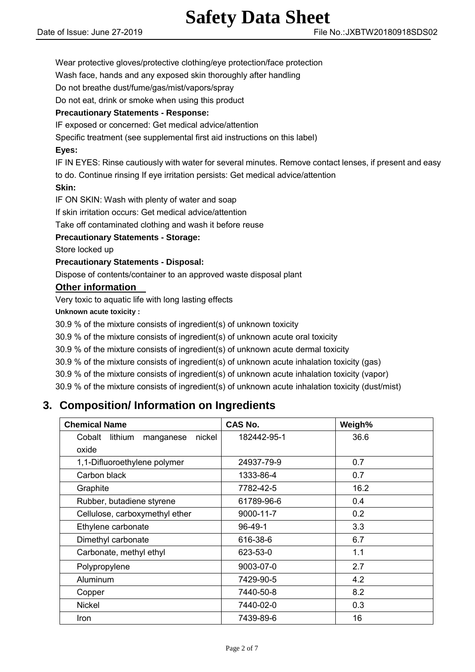Wear protective gloves/protective clothing/eye protection/face protection

Wash face, hands and any exposed skin thoroughly after handling

Do not breathe dust/fume/gas/mist/vapors/spray

Do not eat, drink or smoke when using this product

## **Precautionary Statements - Response:**

IF exposed or concerned: Get medical advice/attention

Specific treatment (see supplemental first aid instructions on this label)

## **Eyes:**

IF IN EYES: Rinse cautiously with water for several minutes. Remove contact lenses, if present and easy to do. Continue rinsing If eye irritation persists: Get medical advice/attention

## **Skin:**

IF ON SKIN: Wash with plenty of water and soap

If skin irritation occurs: Get medical advice/attention

Take off contaminated clothing and wash it before reuse

## **Precautionary Statements - Storage:**

Store locked up

## **Precautionary Statements - Disposal:**

Dispose of contents/container to an approved waste disposal plant

## **Other information**

Very toxic to aquatic life with long lasting effects

#### **Unknown acute toxicity :**

30.9 % of the mixture consists of ingredient(s) of unknown toxicity

30.9 % of the mixture consists of ingredient(s) of unknown acute oral toxicity

30.9 % of the mixture consists of ingredient(s) of unknown acute dermal toxicity

30.9 % of the mixture consists of ingredient(s) of unknown acute inhalation toxicity (gas)

30.9 % of the mixture consists of ingredient(s) of unknown acute inhalation toxicity (vapor)

30.9 % of the mixture consists of ingredient(s) of unknown acute inhalation toxicity (dust/mist)

# **3. Composition/ Information on Ingredients**

| <b>Chemical Name</b>                     | <b>CAS No.</b> | Weigh% |
|------------------------------------------|----------------|--------|
| nickel<br>Cobalt<br>lithium<br>manganese | 182442-95-1    | 36.6   |
| oxide                                    |                |        |
| 1,1-Difluoroethylene polymer             | 24937-79-9     | 0.7    |
| Carbon black                             | 1333-86-4      | 0.7    |
| Graphite                                 | 7782-42-5      | 16.2   |
| Rubber, butadiene styrene                | 61789-96-6     | 0.4    |
| Cellulose, carboxymethyl ether           | 9000-11-7      | 0.2    |
| Ethylene carbonate                       | 96-49-1        | 3.3    |
| Dimethyl carbonate                       | 616-38-6       | 6.7    |
| Carbonate, methyl ethyl                  | 623-53-0       | 1.1    |
| Polypropylene                            | 9003-07-0      | 2.7    |
| Aluminum                                 | 7429-90-5      | 4.2    |
| Copper                                   | 7440-50-8      | 8.2    |
| Nickel                                   | 7440-02-0      | 0.3    |
| Iron                                     | 7439-89-6      | 16     |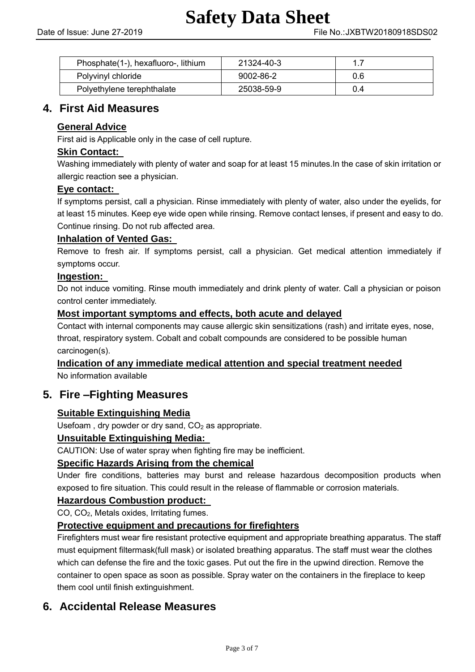| Phosphate (1-), hexafluoro-, lithium | 21324-40-3 | 17  |  |
|--------------------------------------|------------|-----|--|
| Polyvinyl chloride                   | 9002-86-2  | 0.6 |  |
| Polyethylene terephthalate           | 25038-59-9 | 0.4 |  |

# **4. First Aid Measures**

## **General Advice**

First aid is Applicable only in the case of cell rupture.

## **Skin Contact:**

Washing immediately with plenty of water and soap for at least 15 minutes.In the case of skin irritation or allergic reaction see a physician.

## **Eye contact:**

If symptoms persist, call a physician. Rinse immediately with plenty of water, also under the eyelids, for at least 15 minutes. Keep eye wide open while rinsing. Remove contact lenses, if present and easy to do. Continue rinsing. Do not rub affected area.

## **Inhalation of Vented Gas:**

Remove to fresh air. If symptoms persist, call a physician. Get medical attention immediately if symptoms occur.

## **Ingestion:**

Do not induce vomiting. Rinse mouth immediately and drink plenty of water. Call a physician or poison control center immediately.

## **Most important symptoms and effects, both acute and delayed**

Contact with internal components may cause allergic skin sensitizations (rash) and irritate eyes, nose, throat, respiratory system. Cobalt and cobalt compounds are considered to be possible human carcinogen(s).

**Indication of any immediate medical attention and special treatment needed**

No information available

## **5. Fire –Fighting Measures**

## **Suitable Extinguishing Media**

Usefoam, dry powder or dry sand,  $CO<sub>2</sub>$  as appropriate.

## **Unsuitable Extinguishing Media:**

CAUTION: Use of water spray when fighting fire may be inefficient.

## **Specific Hazards Arising from the chemical**

Under fire conditions, batteries may burst and release hazardous decomposition products when exposed to fire situation. This could result in the release of flammable or corrosion materials.

## **Hazardous Combustion product:**

CO, CO2, Metals oxides, Irritating fumes.

## **Protective equipment and precautions for firefighters**

Firefighters must wear fire resistant protective equipment and appropriate breathing apparatus. The staff must equipment filtermask(full mask) or isolated breathing apparatus. The staff must wear the clothes which can defense the fire and the toxic gases. Put out the fire in the upwind direction. Remove the container to open space as soon as possible. Spray water on the containers in the fireplace to keep them cool until finish extinguishment.

# **6. Accidental Release Measures**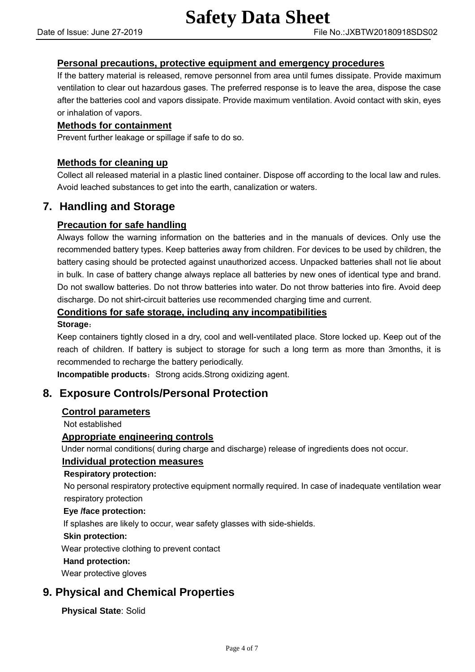## **Personal precautions, protective equipment and emergency procedures**

If the battery material is released, remove personnel from area until fumes dissipate. Provide maximum ventilation to clear out hazardous gases. The preferred response is to leave the area, dispose the case after the batteries cool and vapors dissipate. Provide maximum ventilation. Avoid contact with skin, eyes or inhalation of vapors.

## **Methods for containment**

Prevent further leakage or spillage if safe to do so.

## **Methods for cleaning up**

Collect all released material in a plastic lined container. Dispose off according to the local law and rules. Avoid leached substances to get into the earth, canalization or waters.

## **7. Handling and Storage**

## **Precaution for safe handling**

Always follow the warning information on the batteries and in the manuals of devices. Only use the recommended battery types. Keep batteries away from children. For devices to be used by children, the battery casing should be protected against unauthorized access. Unpacked batteries shall not lie about in bulk. In case of battery change always replace all batteries by new ones of identical type and brand. Do not swallow batteries. Do not throw batteries into water. Do not throw batteries into fire. Avoid deep discharge. Do not shirt-circuit batteries use recommended charging time and current.

## **Conditions for safe storage, including any incompatibilities**

#### **Storage**:

Keep containers tightly closed in a dry, cool and well-ventilated place. Store locked up. Keep out of the reach of children. If battery is subject to storage for such a long term as more than 3months, it is recommended to recharge the battery periodically.

**Incompatible products:** Strong acids.Strong oxidizing agent.

## **8. Exposure Controls/Personal Protection**

## **Control parameters**

Not established

## **Appropriate engineering controls**

Under normal conditions( during charge and discharge) release of ingredients does not occur.

## **Individual protection measures**

## **Respiratory protection:**

No personal respiratory protective equipment normally required. In case of inadequate ventilation wear respiratory protection

#### **Eye /face protection:**

If splashes are likely to occur, wear safety glasses with side-shields.

#### **Skin protection:**

Wear protective clothing to prevent contact

#### **Hand protection:**

Wear protective gloves

# **9. Physical and Chemical Properties**

**Physical State**: Solid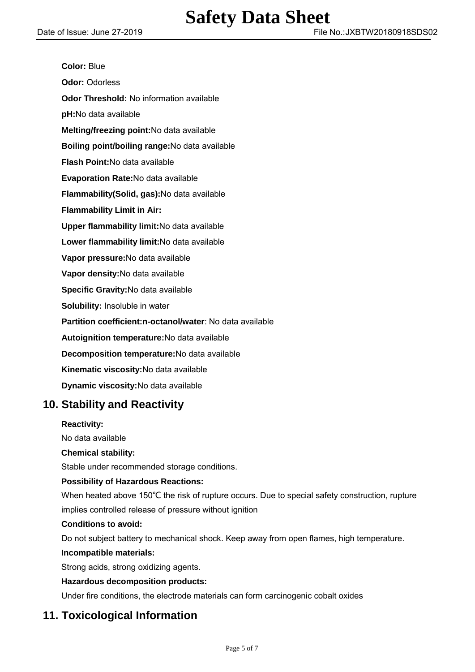| <b>Color: Blue</b>                                       |
|----------------------------------------------------------|
| <b>Odor: Odorless</b>                                    |
| Odor Threshold: No information available                 |
| pH:No data available                                     |
| Melting/freezing point: No data available                |
| Boiling point/boiling range: No data available           |
| Flash Point: No data available                           |
| Evaporation Rate: No data available                      |
| Flammability(Solid, gas): No data available              |
| <b>Flammability Limit in Air:</b>                        |
| Upper flammability limit: No data available              |
| Lower flammability limit: No data available              |
| Vapor pressure: No data available                        |
| Vapor density: No data available                         |
| Specific Gravity: No data available                      |
| Solubility: Insoluble in water                           |
| Partition coefficient:n-octanol/water: No data available |
| Autoignition temperature: No data available              |
| Decomposition temperature: No data available             |
| Kinematic viscosity: No data available                   |
| Dynamic viscosity: No data available                     |
|                                                          |

# **10. Stability and Reactivity**

## **Reactivity:**

No data available

## **Chemical stability:**

Stable under recommended storage conditions.

## **Possibility of Hazardous Reactions:**

When heated above 150℃ the risk of rupture occurs. Due to special safety construction, rupture implies controlled release of pressure without ignition

## **Conditions to avoid:**

Do not subject battery to mechanical shock. Keep away from open flames, high temperature.

#### **Incompatible materials:**

Strong acids, strong oxidizing agents.

## **Hazardous decomposition products:**

Under fire conditions, the electrode materials can form carcinogenic cobalt oxides

# **11. Toxicological Information**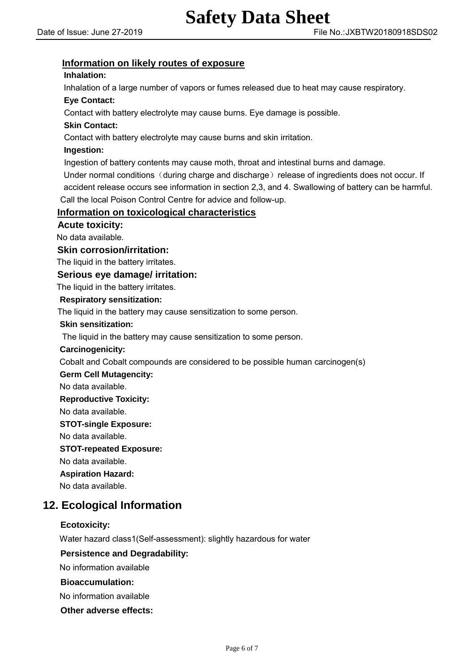## **Information on likely routes of exposure**

## **Inhalation:**

Inhalation of a large number of vapors or fumes released due to heat may cause respiratory.

### **Eye Contact:**

Contact with battery electrolyte may cause burns. Eye damage is possible.

## **Skin Contact:**

Contact with battery electrolyte may cause burns and skin irritation.

### **Ingestion:**

Ingestion of battery contents may cause moth, throat and intestinal burns and damage.

Under normal conditions (during charge and discharge) release of ingredients does not occur. If accident release occurs see information in section 2,3, and 4. Swallowing of battery can be harmful. Call the local Poison Control Centre for advice and follow-up.

## **Information on toxicological characteristics**

 **Acute toxicity:**

No data available.

#### **Skin corrosion/irritation:**

The liquid in the battery irritates.

#### **Serious eye damage/ irritation:**

The liquid in the battery irritates.

#### **Respiratory sensitization:**

The liquid in the battery may cause sensitization to some person.

#### **Skin sensitization:**

The liquid in the battery may cause sensitization to some person.

#### **Carcinogenicity:**

Cobalt and Cobalt compounds are considered to be possible human carcinogen(s)

 **Germ Cell Mutagencity:**

No data available.

#### **Reproductive Toxicity:**

No data available.

#### **STOT-single Exposure:**

No data available.

#### **STOT-repeated Exposure:**

No data available.

 **Aspiration Hazard:**

No data available.

## **12. Ecological Information**

## **Ecotoxicity:**

Water hazard class1(Self-assessment): slightly hazardous for water

## **Persistence and Degradability:**

No information available

## **Bioaccumulation:**

No information available

**Other adverse effects:**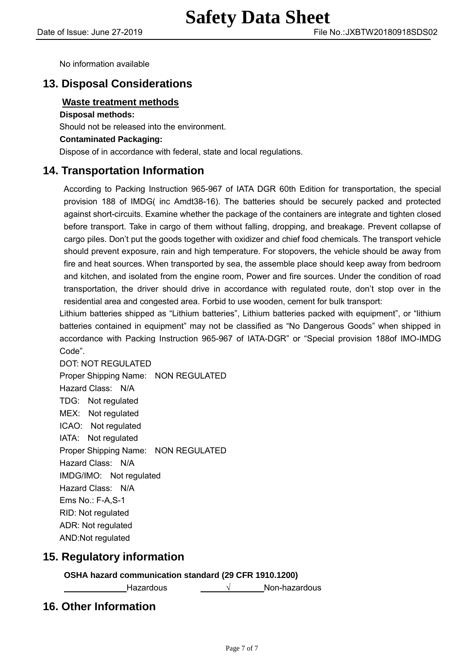No information available

# **13. Disposal Considerations**

## **Waste treatment methods**

#### **Disposal methods:**

Should not be released into the environment.

## **Contaminated Packaging:**

Dispose of in accordance with federal, state and local regulations.

## **14. Transportation Information**

 According to Packing Instruction 965-967 of IATA DGR 60th Edition for transportation, the special provision 188 of IMDG( inc Amdt38-16). The batteries should be securely packed and protected against short-circuits. Examine whether the package of the containers are integrate and tighten closed before transport. Take in cargo of them without falling, dropping, and breakage. Prevent collapse of cargo piles. Don't put the goods together with oxidizer and chief food chemicals. The transport vehicle should prevent exposure, rain and high temperature. For stopovers, the vehicle should be away from fire and heat sources. When transported by sea, the assemble place should keep away from bedroom and kitchen, and isolated from the engine room, Power and fire sources. Under the condition of road transportation, the driver should drive in accordance with regulated route, don't stop over in the residential area and congested area. Forbid to use wooden, cement for bulk transport:

Lithium batteries shipped as "Lithium batteries", Lithium batteries packed with equipment", or "lithium batteries contained in equipment" may not be classified as "No Dangerous Goods" when shipped in accordance with Packing Instruction 965-967 of IATA-DGR" or "Special provision 188of IMO-IMDG Code".

DOT: NOT REGULATED Proper Shipping Name: NON REGULATED Hazard Class: N/A TDG: Not regulated MEX: Not regulated ICAO: Not regulated IATA: Not regulated Proper Shipping Name: NON REGULATED Hazard Class: N/A IMDG/IMO: Not regulated Hazard Class: N/A Ems No.: F-A,S-1 RID: Not regulated ADR: Not regulated AND:Not regulated

## **15. Regulatory information**

## **OSHA hazard communication standard (29 CFR 1910.1200)**

Hazardous √ Non-hazardous

# **16. Other Information**